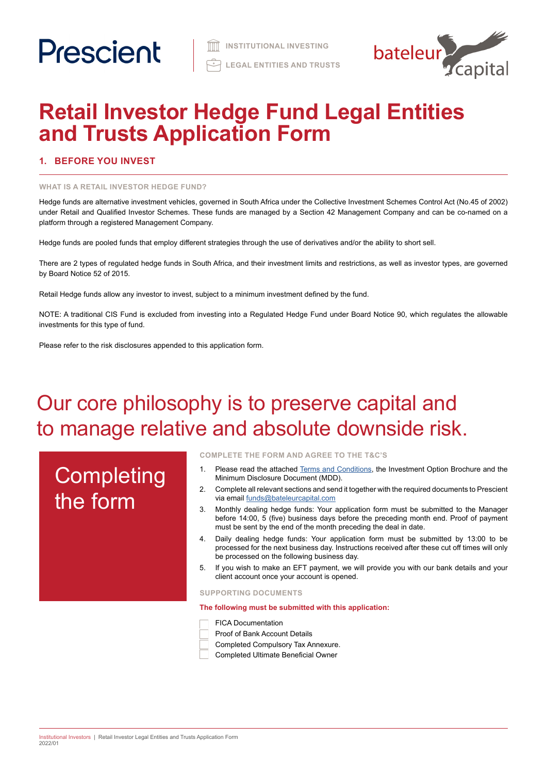

# **Retail Investor Hedge Fund Legal Entities and Trusts Application Form**

# **1. BEFORE YOU INVEST**

### **WHAT IS A RETAIL INVESTOR HEDGE FUND?**

Hedge funds are alternative investment vehicles, governed in South Africa under the Collective Investment Schemes Control Act (No.45 of 2002) under Retail and Qualified Investor Schemes. These funds are managed by a Section 42 Management Company and can be co-named on a platform through a registered Management Company.

Hedge funds are pooled funds that employ different strategies through the use of derivatives and/or the ability to short sell.

There are 2 types of regulated hedge funds in South Africa, and their investment limits and restrictions, as well as investor types, are governed by Board Notice 52 of 2015.

Retail Hedge funds allow any investor to invest, subject to a minimum investment defined by the fund.

NOTE: A traditional CIS Fund is excluded from investing into a Regulated Hedge Fund under Board Notice 90, which regulates the allowable investments for this type of fund.

Please refer to the risk disclosures appended to this application form.

# Our core philosophy is to preserve capital and to manage relative and absolute downside risk.

# **Completing** the form

**COMPLETE THE FORM AND AGREE TO THE T&C'S**

- 1. Please read the attached [Terms and Conditions](https://www.prescient.co.za/media/de4hvtza/prescient-hedge-fund-terms-conditions.pdf), the Investment Option Brochure and the Minimum Disclosure Document (MDD).
- 2. Complete all relevant sections and send it together with the required documents to Prescient via email [funds@bateleurcapital.com](mailto:funds%40bateleurcapital.com?subject=Hedge%20Fund%20Application%20Form%20Legal%20Entities%20RI)
- 3. Monthly dealing hedge funds: Your application form must be submitted to the Manager before 14:00, 5 (five) business days before the preceding month end. Proof of payment must be sent by the end of the month preceding the deal in date.
- 4. Daily dealing hedge funds: Your application form must be submitted by 13:00 to be processed for the next business day. Instructions received after these cut off times will only be processed on the following business day.
- 5. If you wish to make an EFT payment, we will provide you with our bank details and your client account once your account is opened.

**SUPPORTING DOCUMENTS** 

**The following must be submitted with this application:**



- Proof of Bank Account Details
- Completed Compulsory Tax Annexure.
- Completed Ultimate Beneficial Owner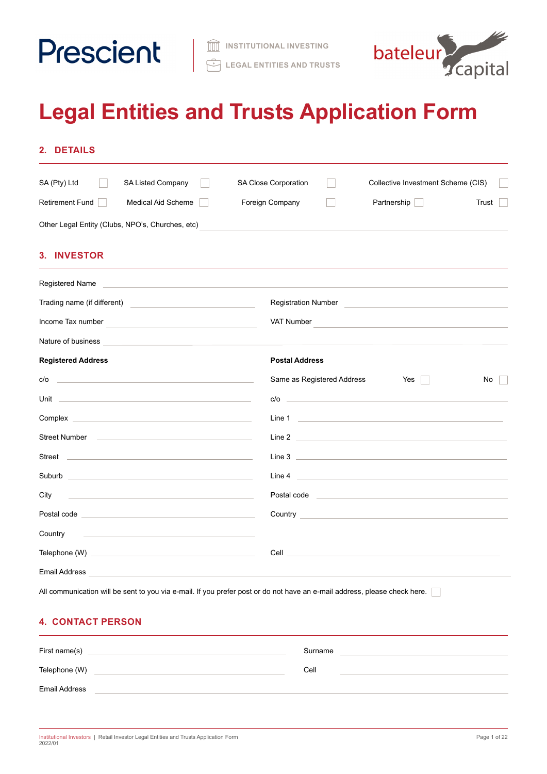



# **Legal Entities and Trusts Application Form**

| SA (Pty) Ltd<br>SA Listed Company                                                                                                                                                                                                      | SA Close Corporation<br>Collective Investment Scheme (CIS)                                                               |
|----------------------------------------------------------------------------------------------------------------------------------------------------------------------------------------------------------------------------------------|--------------------------------------------------------------------------------------------------------------------------|
| Retirement Fund<br><b>Medical Aid Scheme</b>                                                                                                                                                                                           | Foreign Company<br>Partnership<br>Trust                                                                                  |
| Other Legal Entity (Clubs, NPO's, Churches, etc)                                                                                                                                                                                       |                                                                                                                          |
| <b>3. INVESTOR</b>                                                                                                                                                                                                                     |                                                                                                                          |
|                                                                                                                                                                                                                                        |                                                                                                                          |
| Trading name (if different)<br><u> and the contract of the contract of the contract of the contract of the contract of the contract of the contract of the contract of the contract of the contract of the contract of the contrac</u> |                                                                                                                          |
| Income Tax number                                                                                                                                                                                                                      | VAT Number                                                                                                               |
| Nature of business <b>All According to the Contract of Security Contract of According to the Contract of According to the Contract of According to the Contract of According to the Contract of According to the Contract of Acc</b>   |                                                                                                                          |
| <b>Registered Address</b>                                                                                                                                                                                                              | <b>Postal Address</b>                                                                                                    |
| <u> 1989 - Johann Stein, marwolaethau a bhann an t-Amhainn an t-Amhainn an t-Amhainn an t-Amhainn an t-Amhainn an</u><br>c/o                                                                                                           | Same as Registered Address<br>Yes<br>No                                                                                  |
| Unit the contract of the contract of the contract of the contract of the contract of the contract of the contract of the contract of the contract of the contract of the contract of the contract of the contract of the contr         | c/o                                                                                                                      |
| Complex <b>complex</b> and the complex of the complex of the complex of the complex of the complex of the complex of the complex of the complex of the complex of the complex of the complex of the complex of the complex of the c    | Line 1 and 200 million to the contract of the contract of the contract of the contract of the contract of the            |
| Street Number and the control of the control of the control of the control of the control of the control of the control of the control of the control of the control of the control of the control of the control of the contr         | Line 2                                                                                                                   |
| Street <u>and the community of the community of the community of the community of the community of the community of the community of the community of the community of the community of the community of the community of the co</u>   | Line 3 <u>and the second contract of the second contract of the second contract of the second contract of the second</u> |
|                                                                                                                                                                                                                                        | Line 4                                                                                                                   |
| City                                                                                                                                                                                                                                   | Postal code and the contract of the contract of the contract of the contract of the contract of the contract of          |
| Postal code <u>experience</u> and the contract of the contract of the contract of the contract of the contract of the                                                                                                                  |                                                                                                                          |
| Country<br><u> 1989 - Andrea Stadt Britain, amerikansk politiker (</u>                                                                                                                                                                 |                                                                                                                          |
|                                                                                                                                                                                                                                        | <b>Cell</b> Cell <b>Cell Cell Cell Cell Cell Cell Cell Cell Cell Cell Cell Cell</b>                                      |
| Email Address <b>Executive Service Service Service Service Service Service Service Service Service Service Service Service Service Service Service Service Service Service Service Service Service Service Service Service Servi</b>   |                                                                                                                          |

# **4. CONTACT PERSON**

| First name(s)        | Surname |
|----------------------|---------|
| Telephone (W)        | Cell    |
| <b>Email Address</b> |         |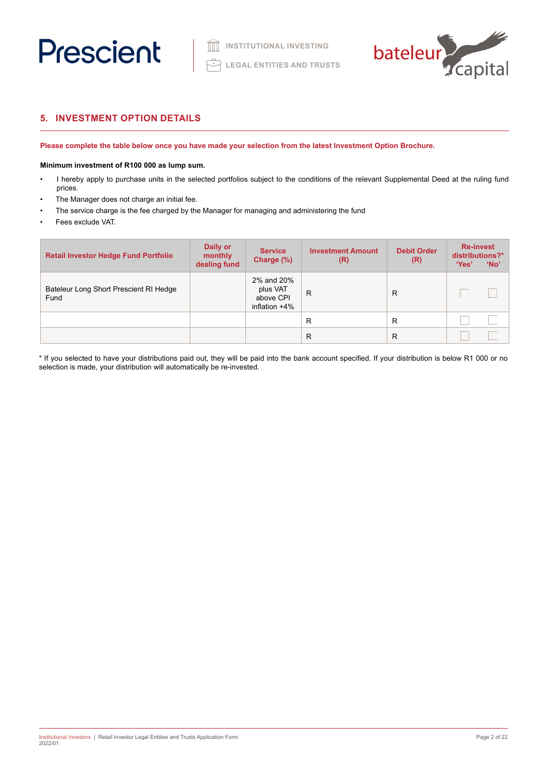



# **5. INVESTMENT OPTION DETAILS**

**Please complete the table below once you have made your selection from the latest Investment Option Brochure.** 

# **Minimum investment of R100 000 as lump sum.**

- I hereby apply to purchase units in the selected portfolios subject to the conditions of the relevant Supplemental Deed at the ruling fund prices.
- The Manager does not charge an initial fee.
- The service charge is the fee charged by the Manager for managing and administering the fund
- Fees exclude VAT.

| <b>Retail Investor Hedge Fund Portfolio</b>    | Daily or<br>monthly<br>dealing fund | <b>Service</b><br>Charge (%)                            | <b>Investment Amount</b><br>(R) | <b>Debit Order</b><br>(R) | <b>Re-invest</b><br>distributions?*<br>'Yes'<br>'No' |
|------------------------------------------------|-------------------------------------|---------------------------------------------------------|---------------------------------|---------------------------|------------------------------------------------------|
| Bateleur Long Short Prescient RI Hedge<br>Fund |                                     | 2% and 20%<br>plus VAT<br>above CPI<br>inflation $+4\%$ | $\mathsf{R}$                    | R                         |                                                      |
|                                                |                                     |                                                         | R                               | R                         |                                                      |
|                                                |                                     |                                                         | R                               | R                         |                                                      |

\* If you selected to have your distributions paid out, they will be paid into the bank account specified. If your distribution is below R1 000 or no selection is made, your distribution will automatically be re-invested.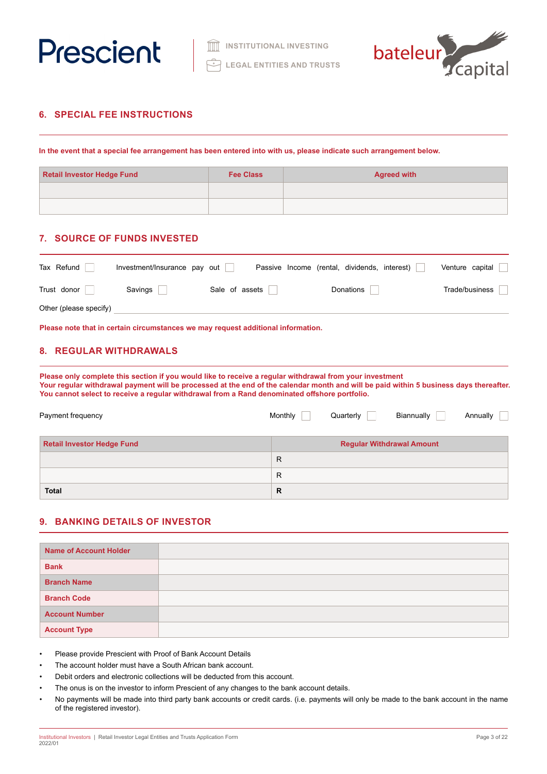



# **6. SPECIAL FEE INSTRUCTIONS**

**In the event that a special fee arrangement has been entered into with us, please indicate such arrangement below.**

| <b>Retail Investor Hedge Fund</b> | <b>Fee Class</b> | <b>Agreed with</b> |
|-----------------------------------|------------------|--------------------|
|                                   |                  |                    |
|                                   |                  |                    |

# **7. SOURCE OF FUNDS INVESTED**

| Tax Refund             | Investment/Insurance pay out |                | Passive Income (rental, dividends, interest) | Venture capital |
|------------------------|------------------------------|----------------|----------------------------------------------|-----------------|
| Trust donor            | Savings                      | Sale of assets | Donations                                    | Trade/business  |
| Other (please specify) |                              |                |                                              |                 |

**Please note that in certain circumstances we may request additional information.**

# **8. REGULAR WITHDRAWALS**

**Please only complete this section if you would like to receive a regular withdrawal from your investment Your regular withdrawal payment will be processed at the end of the calendar month and will be paid within 5 business days thereafter. You cannot select to receive a regular withdrawal from a Rand denominated offshore portfolio.**

| Payment frequency                 | Monthly | Quarterly | Biannually                       | Annually |
|-----------------------------------|---------|-----------|----------------------------------|----------|
| <b>Retail Investor Hedge Fund</b> |         |           | <b>Regular Withdrawal Amount</b> |          |
|                                   | R       |           |                                  |          |
|                                   | R       |           |                                  |          |
| <b>Total</b>                      | R       |           |                                  |          |

# **9. BANKING DETAILS OF INVESTOR**

| <b>Name of Account Holder</b> |  |
|-------------------------------|--|
| <b>Bank</b>                   |  |
| <b>Branch Name</b>            |  |
| <b>Branch Code</b>            |  |
| <b>Account Number</b>         |  |
| <b>Account Type</b>           |  |

• Please provide Prescient with Proof of Bank Account Details

- The account holder must have a South African bank account.
- Debit orders and electronic collections will be deducted from this account.
- The onus is on the investor to inform Prescient of any changes to the bank account details.
- No payments will be made into third party bank accounts or credit cards. (i.e. payments will only be made to the bank account in the name of the registered investor).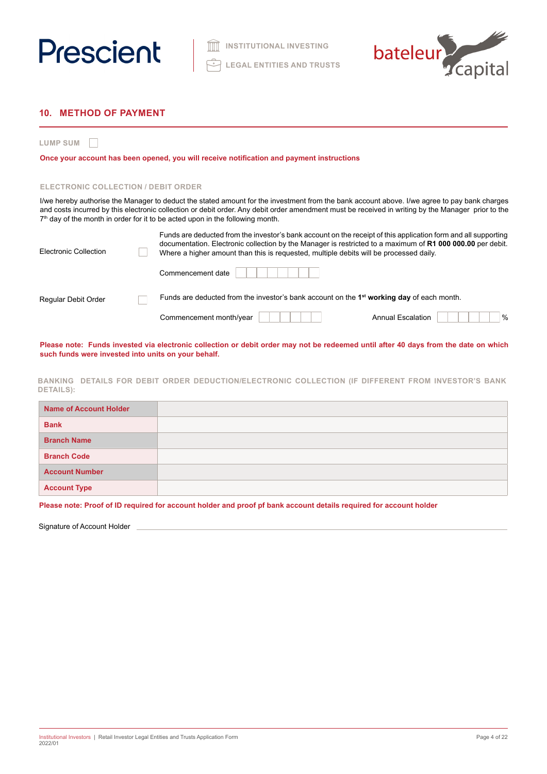



# **10. METHOD OF PAYMENT**

**LUMP SUM**

**Once your account has been opened, you will receive notification and payment instructions**

### **ELECTRONIC COLLECTION / DEBIT ORDER**

I/we hereby authorise the Manager to deduct the stated amount for the investment from the bank account above. I/we agree to pay bank charges and costs incurred by this electronic collection or debit order. Any debit order amendment must be received in writing by the Manager prior to the 7<sup>th</sup> day of the month in order for it to be acted upon in the following month.

| Electronic Collection | Funds are deducted from the investor's bank account on the receipt of this application form and all supporting<br>documentation. Electronic collection by the Manager is restricted to a maximum of R1 000 000.00 per debit.<br>Where a higher amount than this is requested, multiple debits will be processed daily. |
|-----------------------|------------------------------------------------------------------------------------------------------------------------------------------------------------------------------------------------------------------------------------------------------------------------------------------------------------------------|
|                       | Commencement date                                                                                                                                                                                                                                                                                                      |
| Regular Debit Order   | Funds are deducted from the investor's bank account on the $1st$ working day of each month.                                                                                                                                                                                                                            |
|                       | $\frac{0}{0}$<br>Commencement month/year<br><b>Annual Escalation</b>                                                                                                                                                                                                                                                   |

**Please note: Funds invested via electronic collection or debit order may not be redeemed until after 40 days from the date on which such funds were invested into units on your behalf.**

**BANKING DETAILS FOR DEBIT ORDER DEDUCTION/ELECTRONIC COLLECTION (IF DIFFERENT FROM INVESTOR'S BANK DETAILS):**

| <b>Name of Account Holder</b> |  |
|-------------------------------|--|
| <b>Bank</b>                   |  |
| <b>Branch Name</b>            |  |
| <b>Branch Code</b>            |  |
| <b>Account Number</b>         |  |
| <b>Account Type</b>           |  |

**Please note: Proof of ID required for account holder and proof pf bank account details required for account holder**

Signature of Account Holder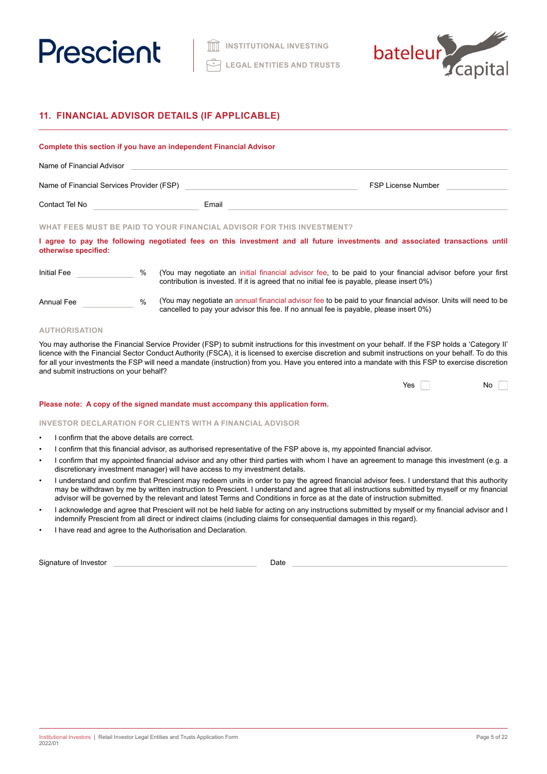



# **11. FINANCIAL ADVISOR DETAILS (IF APPLICABLE)**

# **Complete this section if you have an independent Financial Advisor**

| Name of Financial Advisor                 |       |                           |
|-------------------------------------------|-------|---------------------------|
| Name of Financial Services Provider (FSP) |       | <b>FSP License Number</b> |
| Contact Tel No                            | Email |                           |

# **WHAT FEES MUST BE PAID TO YOUR FINANCIAL ADVISOR FOR THIS INVESTMENT?**

**I agree to pay the following negotiated fees on this investment and all future investments and associated transactions until otherwise specified:**

| Initial Fee | % (You may negotiate an initial financial advisor fee, to be paid to your financial advisor before your first |
|-------------|---------------------------------------------------------------------------------------------------------------|
|             | contribution is invested. If it is agreed that no initial fee is payable, please insert 0%)                   |

# Annual Fee 30 %

(You may negotiate an annual financial advisor fee to be paid to your financial advisor. Units will need to be cancelled to pay your advisor this fee. If no annual fee is payable, please insert 0%)

# **AUTHORISATION**

You may authorise the Financial Service Provider (FSP) to submit instructions for this investment on your behalf. If the FSP holds a 'Category II' licence with the Financial Sector Conduct Authority (FSCA), it is licensed to exercise discretion and submit instructions on your behalf. To do this for all your investments the FSP will need a mandate (instruction) from you. Have you entered into a mandate with this FSP to exercise discretion and submit instructions on your behalf?

| Yes | No |  |
|-----|----|--|
|-----|----|--|

#### **Please note: A copy of the signed mandate must accompany this application form.**

### **INVESTOR DECLARATION FOR CLIENTS WITH A FINANCIAL ADVISOR**

- I confirm that the above details are correct.
- I confirm that this financial advisor, as authorised representative of the FSP above is, my appointed financial advisor.
- I confirm that my appointed financial advisor and any other third parties with whom I have an agreement to manage this investment (e.g. a discretionary investment manager) will have access to my investment details.
- I understand and confirm that Prescient may redeem units in order to pay the agreed financial advisor fees. I understand that this authority may be withdrawn by me by written instruction to Prescient. I understand and agree that all instructions submitted by myself or my financial advisor will be governed by the relevant and latest Terms and Conditions in force as at the date of instruction submitted.
- I acknowledge and agree that Prescient will not be held liable for acting on any instructions submitted by myself or my financial advisor and I indemnify Prescient from all direct or indirect claims (including claims for consequential damages in this regard).
- I have read and agree to the Authorisation and Declaration.

Signature of Investor **Date**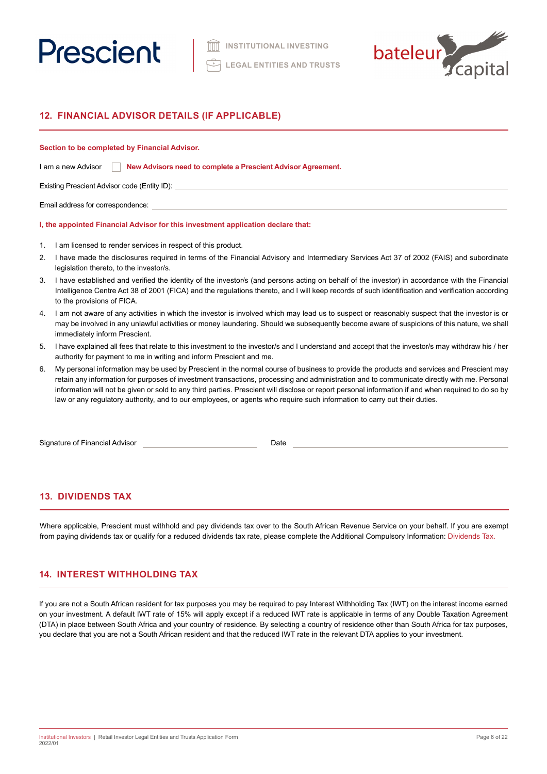



# **12. FINANCIAL ADVISOR DETAILS (IF APPLICABLE)**

## **Section to be completed by Financial Advisor.**

| I am a new Advisor |  | New Advisors need to complete a Prescient Advisor Agreement. |  |
|--------------------|--|--------------------------------------------------------------|--|
|--------------------|--|--------------------------------------------------------------|--|

Existing Prescient Advisor code (Entity ID):

Email address for correspondence:

# **I, the appointed Financial Advisor for this investment application declare that:**

- 1. I am licensed to render services in respect of this product.
- 2. I have made the disclosures required in terms of the Financial Advisory and Intermediary Services Act 37 of 2002 (FAIS) and subordinate legislation thereto, to the investor/s.
- 3. I have established and verified the identity of the investor/s (and persons acting on behalf of the investor) in accordance with the Financial Intelligence Centre Act 38 of 2001 (FICA) and the regulations thereto, and I will keep records of such identification and verification according to the provisions of FICA.
- 4. I am not aware of any activities in which the investor is involved which may lead us to suspect or reasonably suspect that the investor is or may be involved in any unlawful activities or money laundering. Should we subsequently become aware of suspicions of this nature, we shall immediately inform Prescient.
- 5. I have explained all fees that relate to this investment to the investor/s and I understand and accept that the investor/s may withdraw his / her authority for payment to me in writing and inform Prescient and me.
- 6. My personal information may be used by Prescient in the normal course of business to provide the products and services and Prescient may retain any information for purposes of investment transactions, processing and administration and to communicate directly with me. Personal information will not be given or sold to any third parties. Prescient will disclose or report personal information if and when required to do so by law or any regulatory authority, and to our employees, or agents who require such information to carry out their duties.

Signature of Financial Advisor **Date** 

# **13. DIVIDENDS TAX**

Where applicable, Prescient must withhold and pay dividends tax over to the South African Revenue Service on your behalf. If you are exempt from paying dividends tax or qualify for a reduced dividends tax rate, please complete the Additional Compulsory Information: Dividends Tax.

# **14. INTEREST WITHHOLDING TAX**

If you are not a South African resident for tax purposes you may be required to pay Interest Withholding Tax (IWT) on the interest income earned on your investment. A default IWT rate of 15% will apply except if a reduced IWT rate is applicable in terms of any Double Taxation Agreement (DTA) in place between South Africa and your country of residence. By selecting a country of residence other than South Africa for tax purposes, you declare that you are not a South African resident and that the reduced IWT rate in the relevant DTA applies to your investment.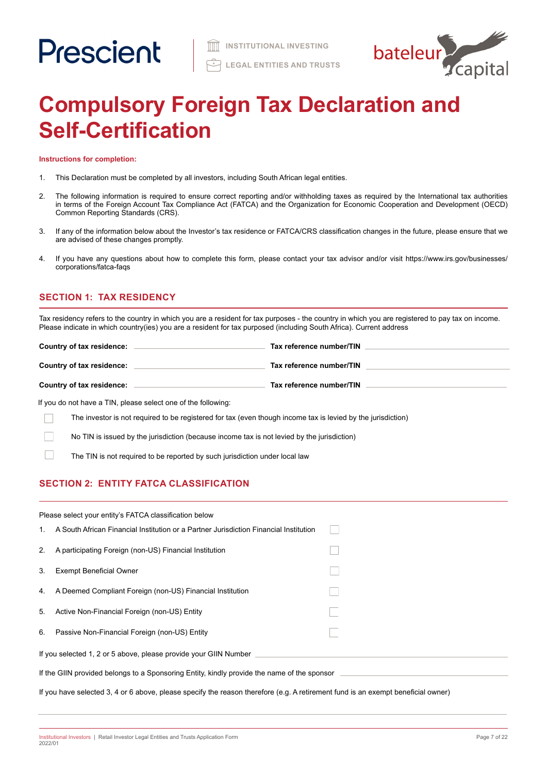

# **Compulsory Foreign Tax Declaration and Self-Certification**

**Instructions for completion:**

- 1. This Declaration must be completed by all investors, including South African legal entities.
- 2. The following information is required to ensure correct reporting and/or withholding taxes as required by the International tax authorities in terms of the Foreign Account Tax Compliance Act (FATCA) and the Organization for Economic Cooperation and Development (OECD) Common Reporting Standards (CRS).
- 3. If any of the information below about the Investor's tax residence or FATCA/CRS classification changes in the future, please ensure that we are advised of these changes promptly.
- 4. If you have any questions about how to complete this form, please contact your tax advisor and/or visit https://www.irs.gov/businesses/ corporations/fatca-faqs

# **SECTION 1: TAX RESIDENCY**

Tax residency refers to the country in which you are a resident for tax purposes - the country in which you are registered to pay tax on income. Please indicate in which country(ies) you are a resident for tax purposed (including South Africa). Current address

| Country of tax residence: | Tax reference number/TIN |
|---------------------------|--------------------------|
| Country of tax residence: | Tax reference number/TIN |
| Country of tax residence: | Tax reference number/TIN |

If you do not have a TIN, please select one of the following:

The investor is not required to be registered for tax (even though income tax is levied by the jurisdiction) Г

No TIN is issued by the jurisdiction (because income tax is not levied by the jurisdiction)

The TIN is not required to be reported by such jurisdiction under local law

# **SECTION 2: ENTITY FATCA CLASSIFICATION**

|                                                                                             | Please select your entity's FATCA classification below                                                                           |  |
|---------------------------------------------------------------------------------------------|----------------------------------------------------------------------------------------------------------------------------------|--|
| $1_{\cdot}$                                                                                 | A South African Financial Institution or a Partner Jurisdiction Financial Institution                                            |  |
| 2.                                                                                          | A participating Foreign (non-US) Financial Institution                                                                           |  |
| 3.                                                                                          | <b>Exempt Beneficial Owner</b>                                                                                                   |  |
| 4.                                                                                          | A Deemed Compliant Foreign (non-US) Financial Institution                                                                        |  |
| 5.                                                                                          | Active Non-Financial Foreign (non-US) Entity                                                                                     |  |
| 6.                                                                                          | Passive Non-Financial Foreign (non-US) Entity                                                                                    |  |
| If you selected 1, 2 or 5 above, please provide your GIIN Number                            |                                                                                                                                  |  |
| If the GIIN provided belongs to a Sponsoring Entity, kindly provide the name of the sponsor |                                                                                                                                  |  |
|                                                                                             | If you have selected 3, 4 or 6 above, please specify the reason therefore (e.g. A retirement fund is an exempt beneficial owner) |  |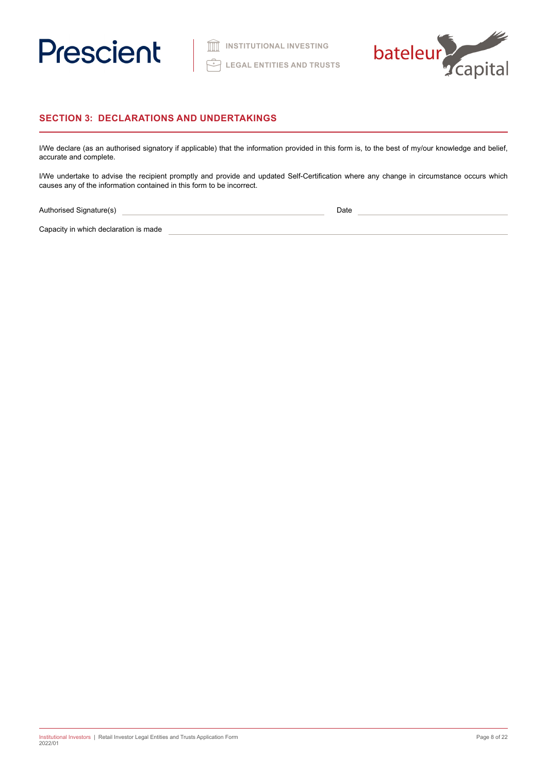



# **SECTION 3: DECLARATIONS AND UNDERTAKINGS**

I/We declare (as an authorised signatory if applicable) that the information provided in this form is, to the best of my/our knowledge and belief, accurate and complete.

I/We undertake to advise the recipient promptly and provide and updated Self-Certification where any change in circumstance occurs which causes any of the information contained in this form to be incorrect.

Authorised Signature(s) 2008 2009 2010 2020 2021 2021 2022 2022 2023 2024 2022 2023 2024 2022 2023 2024 2022 2023 2024 2022 2023 2024 2022 2023 2024 2022 2023 2024 2022 2023 2024 2022 2023 2024 2022 2023 2024 2023 2024 202

Capacity in which declaration is made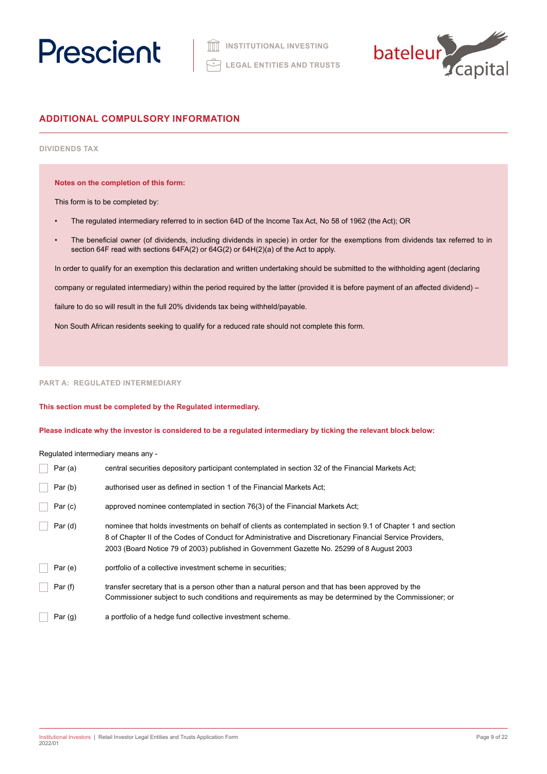



# **ADDITIONAL COMPULSORY INFORMATION**

# **DIVIDENDS TAX**

**Notes on the completion of this form:**

This form is to be completed by:

- The regulated intermediary referred to in section 64D of the Income Tax Act, No 58 of 1962 (the Act); OR
- The beneficial owner (of dividends, including dividends in specie) in order for the exemptions from dividends tax referred to in section 64F read with sections 64FA(2) or 64G(2) or 64H(2)(a) of the Act to apply.

In order to qualify for an exemption this declaration and written undertaking should be submitted to the withholding agent (declaring

company or regulated intermediary) within the period required by the latter (provided it is before payment of an affected dividend) –

failure to do so will result in the full 20% dividends tax being withheld/payable.

Non South African residents seeking to qualify for a reduced rate should not complete this form.

# **PART A: REGULATED INTERMEDIARY**

**This section must be completed by the Regulated intermediary.** 

**Please indicate why the investor is considered to be a regulated intermediary by ticking the relevant block below:**

Regulated intermediary means any -

| Par $(a)$ | central securities depository participant contemplated in section 32 of the Financial Markets Act;                                                                                                                                                                                                                    |
|-----------|-----------------------------------------------------------------------------------------------------------------------------------------------------------------------------------------------------------------------------------------------------------------------------------------------------------------------|
| Par(b)    | authorised user as defined in section 1 of the Financial Markets Act;                                                                                                                                                                                                                                                 |
| Par(c)    | approved nominee contemplated in section 76(3) of the Financial Markets Act;                                                                                                                                                                                                                                          |
| Par(d)    | nominee that holds investments on behalf of clients as contemplated in section 9.1 of Chapter 1 and section<br>8 of Chapter II of the Codes of Conduct for Administrative and Discretionary Financial Service Providers,<br>2003 (Board Notice 79 of 2003) published in Government Gazette No. 25299 of 8 August 2003 |
| Par(e)    | portfolio of a collective investment scheme in securities;                                                                                                                                                                                                                                                            |
| Par(f)    | transfer secretary that is a person other than a natural person and that has been approved by the<br>Commissioner subject to such conditions and requirements as may be determined by the Commissioner; or                                                                                                            |
| Par(g)    | a portfolio of a hedge fund collective investment scheme.                                                                                                                                                                                                                                                             |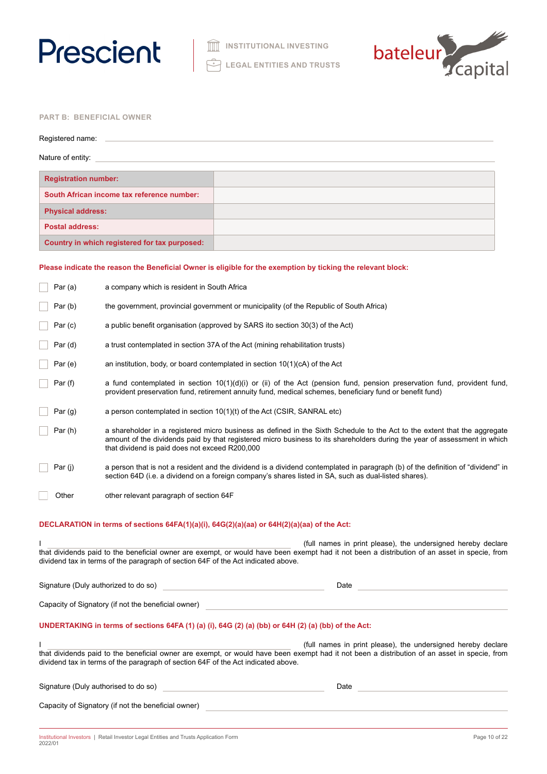



# **PART B: BENEFICIAL OWNER**

| Registered name:                              |  |
|-----------------------------------------------|--|
| Nature of entity:                             |  |
| <b>Registration number:</b>                   |  |
| South African income tax reference number:    |  |
| <b>Physical address:</b>                      |  |
| <b>Postal address:</b>                        |  |
| Country in which registered for tax purposed: |  |
|                                               |  |

# **Please indicate the reason the Beneficial Owner is eligible for the exemption by ticking the relevant block:**

|         | Par (a)   | a company which is resident in South Africa                                                                                                                                                                                                                                                              |
|---------|-----------|----------------------------------------------------------------------------------------------------------------------------------------------------------------------------------------------------------------------------------------------------------------------------------------------------------|
|         | Par(b)    | the government, provincial government or municipality (of the Republic of South Africa)                                                                                                                                                                                                                  |
|         | Par(c)    | a public benefit organisation (approved by SARS ito section 30(3) of the Act)                                                                                                                                                                                                                            |
|         | Par (d)   | a trust contemplated in section 37A of the Act (mining rehabilitation trusts)                                                                                                                                                                                                                            |
|         | Par(e)    | an institution, body, or board contemplated in section 10(1)(cA) of the Act                                                                                                                                                                                                                              |
| Par (f) |           | a fund contemplated in section $10(1)(d)(i)$ or (ii) of the Act (pension fund, pension preservation fund, provident fund,<br>provident preservation fund, retirement annuity fund, medical schemes, beneficiary fund or benefit fund)                                                                    |
|         | Par $(g)$ | a person contemplated in section $10(1)(t)$ of the Act (CSIR, SANRAL etc)                                                                                                                                                                                                                                |
|         | Par(h)    | a shareholder in a registered micro business as defined in the Sixth Schedule to the Act to the extent that the aggregate<br>amount of the dividends paid by that registered micro business to its shareholders during the year of assessment in which<br>that dividend is paid does not exceed R200,000 |
| Par (j) |           | a person that is not a resident and the dividend is a dividend contemplated in paragraph (b) of the definition of "dividend" in<br>section 64D (i.e. a dividend on a foreign company's shares listed in SA, such as dual-listed shares).                                                                 |
|         | Other     | other relevant paragraph of section 64F                                                                                                                                                                                                                                                                  |
|         |           | DECLARATION in terms of sections 64FA(1)(a)(i), 64G(2)(a)(aa) or 64H(2)(a)(aa) of the Act:                                                                                                                                                                                                               |
|         |           | (full names in print please), the undersigned hereby declare                                                                                                                                                                                                                                             |
|         |           | that dividends paid to the beneficial owner are exempt, or would have been exempt had it not been a distribution of an asset in specie, from<br>dividend tax in terms of the paragraph of section 64F of the Act indicated above.                                                                        |
|         |           | Signature (Duly authorized to do so)<br>Date                                                                                                                                                                                                                                                             |
|         |           | Capacity of Signatory (if not the beneficial owner)                                                                                                                                                                                                                                                      |
|         |           | UNDERTAKING in terms of sections 64FA (1) (a) (i), 64G (2) (a) (bb) or 64H (2) (a) (bb) of the Act:                                                                                                                                                                                                      |
|         |           | (full names in print please), the undersigned hereby declare<br>that dividends paid to the beneficial owner are exempt, or would have been exempt had it not been a distribution of an asset in specie, from<br>dividend tax in terms of the paragraph of section 64F of the Act indicated above.        |
|         |           | Signature (Duly authorised to do so)<br>Date                                                                                                                                                                                                                                                             |
|         |           | Capacity of Signatory (if not the beneficial owner)                                                                                                                                                                                                                                                      |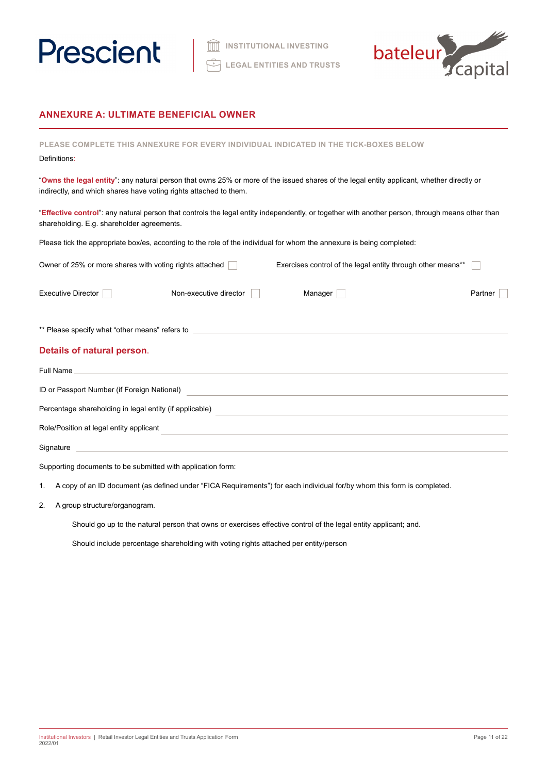



# **ANNEXURE A: ULTIMATE BENEFICIAL OWNER**

| <b>PLEASE COMPLETE</b><br>THIS AN<br>Definitions:                                                                                                                                                              | XURE FOR EVERY INDIVIDUAL INDICATED IN THE TICK-BOXES BELOW                                                           |         |
|----------------------------------------------------------------------------------------------------------------------------------------------------------------------------------------------------------------|-----------------------------------------------------------------------------------------------------------------------|---------|
| "Owns the legal entity": any natural person that owns 25% or more of the issued shares of the legal entity applicant, whether directly or<br>indirectly, and which shares have voting rights attached to them. |                                                                                                                       |         |
| "Effective control": any natural person that controls the legal entity independently, or together with another person, through means other than<br>shareholding. E.g. shareholder agreements.                  |                                                                                                                       |         |
| Please tick the appropriate box/es, according to the role of the individual for whom the annexure is being completed:                                                                                          |                                                                                                                       |         |
| Owner of 25% or more shares with voting rights attached                                                                                                                                                        | Exercises control of the legal entity through other means**                                                           |         |
| <b>Executive Director</b><br>Non-executive director                                                                                                                                                            | Manager                                                                                                               | Partner |
| ** Please specify what "other means" refers to _________________________________                                                                                                                               |                                                                                                                       |         |
| Details of natural person.                                                                                                                                                                                     |                                                                                                                       |         |
| Full Name<br>and the control of the control of the control of the control of the control of the control of the control of the                                                                                  |                                                                                                                       |         |
| ID or Passport Number (if Foreign National)                                                                                                                                                                    |                                                                                                                       |         |
| Percentage shareholding in legal entity (if applicable)                                                                                                                                                        | <u> 1980 - Jan James James Santan (j. 1980)</u>                                                                       |         |
| Role/Position at legal entity applicant                                                                                                                                                                        | <u> 1989 - An t-Alban Alban an t-Alban an t-Alban an t-Alban an t-Alban an t-Alban an t-Alban an t-Alban an t-Alb</u> |         |
| Signature                                                                                                                                                                                                      | <u> 1989 - Jan Samuel Barbara, margaret e populari e populari e populari e populari e populari e populari e popu</u>  |         |

Supporting documents to be submitted with application form:

1. A copy of an ID document (as defined under "FICA Requirements") for each individual for/by whom this form is completed.

2. A group structure/organogram.

Should go up to the natural person that owns or exercises effective control of the legal entity applicant; and.

Should include percentage shareholding with voting rights attached per entity/person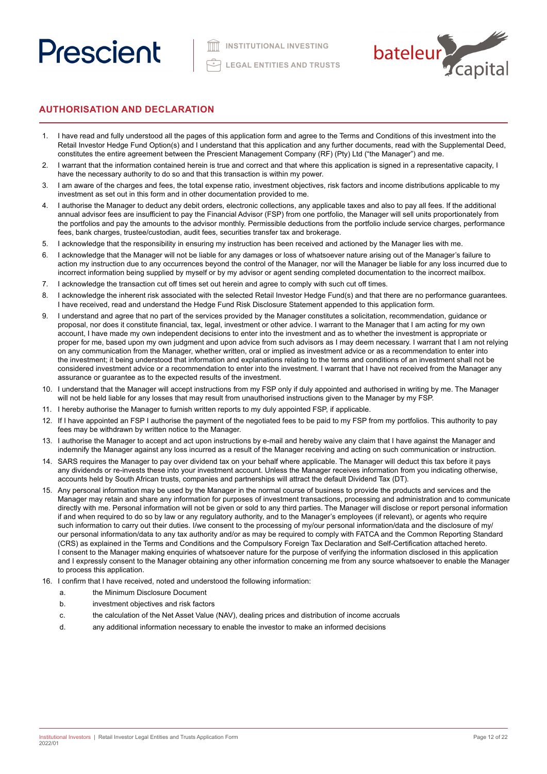

# **AUTHORISATION AND DECLARATION**

- 1. I have read and fully understood all the pages of this application form and agree to the Terms and Conditions of this investment into the Retail Investor Hedge Fund Option(s) and I understand that this application and any further documents, read with the Supplemental Deed, constitutes the entire agreement between the Prescient Management Company (RF) (Pty) Ltd ("the Manager") and me.
- 2. I warrant that the information contained herein is true and correct and that where this application is signed in a representative capacity, I have the necessary authority to do so and that this transaction is within my power.
- 3. I am aware of the charges and fees, the total expense ratio, investment objectives, risk factors and income distributions applicable to my investment as set out in this form and in other documentation provided to me.
- 4. I authorise the Manager to deduct any debit orders, electronic collections, any applicable taxes and also to pay all fees. If the additional annual advisor fees are insufficient to pay the Financial Advisor (FSP) from one portfolio, the Manager will sell units proportionately from the portfolios and pay the amounts to the advisor monthly. Permissible deductions from the portfolio include service charges, performance fees, bank charges, trustee/custodian, audit fees, securities transfer tax and brokerage.
- 5. I acknowledge that the responsibility in ensuring my instruction has been received and actioned by the Manager lies with me.
- 6. I acknowledge that the Manager will not be liable for any damages or loss of whatsoever nature arising out of the Manager's failure to action my instruction due to any occurrences beyond the control of the Manager, nor will the Manager be liable for any loss incurred due to incorrect information being supplied by myself or by my advisor or agent sending completed documentation to the incorrect mailbox.
- 7. I acknowledge the transaction cut off times set out herein and agree to comply with such cut off times.
- 8. I acknowledge the inherent risk associated with the selected Retail Investor Hedge Fund(s) and that there are no performance guarantees. I have received, read and understand the Hedge Fund Risk Disclosure Statement appended to this application form.
- 9. I understand and agree that no part of the services provided by the Manager constitutes a solicitation, recommendation, guidance or proposal, nor does it constitute financial, tax, legal, investment or other advice. I warrant to the Manager that I am acting for my own account, I have made my own independent decisions to enter into the investment and as to whether the investment is appropriate or proper for me, based upon my own judgment and upon advice from such advisors as I may deem necessary. I warrant that I am not relying on any communication from the Manager, whether written, oral or implied as investment advice or as a recommendation to enter into the investment; it being understood that information and explanations relating to the terms and conditions of an investment shall not be considered investment advice or a recommendation to enter into the investment. I warrant that I have not received from the Manager any assurance or guarantee as to the expected results of the investment.
- 10. I understand that the Manager will accept instructions from my FSP only if duly appointed and authorised in writing by me. The Manager will not be held liable for any losses that may result from unauthorised instructions given to the Manager by my FSP.
- 11. I hereby authorise the Manager to furnish written reports to my duly appointed FSP, if applicable.
- 12. If I have appointed an FSP I authorise the payment of the negotiated fees to be paid to my FSP from my portfolios. This authority to pay fees may be withdrawn by written notice to the Manager.
- 13. I authorise the Manager to accept and act upon instructions by e-mail and hereby waive any claim that I have against the Manager and indemnify the Manager against any loss incurred as a result of the Manager receiving and acting on such communication or instruction.
- 14. SARS requires the Manager to pay over dividend tax on your behalf where applicable. The Manager will deduct this tax before it pays any dividends or re-invests these into your investment account. Unless the Manager receives information from you indicating otherwise, accounts held by South African trusts, companies and partnerships will attract the default Dividend Tax (DT).
- 15. Any personal information may be used by the Manager in the normal course of business to provide the products and services and the Manager may retain and share any information for purposes of investment transactions, processing and administration and to communicate directly with me. Personal information will not be given or sold to any third parties. The Manager will disclose or report personal information if and when required to do so by law or any regulatory authority, and to the Manager's employees (if relevant), or agents who require such information to carry out their duties. I/we consent to the processing of my/our personal information/data and the disclosure of my/ our personal information/data to any tax authority and/or as may be required to comply with FATCA and the Common Reporting Standard (CRS) as explained in the Terms and Conditions and the Compulsory Foreign Tax Declaration and Self-Certification attached hereto. I consent to the Manager making enquiries of whatsoever nature for the purpose of verifying the information disclosed in this application and I expressly consent to the Manager obtaining any other information concerning me from any source whatsoever to enable the Manager to process this application.
- 16. I confirm that I have received, noted and understood the following information:
	- a. the Minimum Disclosure Document
	- b. investment objectives and risk factors
	- c. the calculation of the Net Asset Value (NAV), dealing prices and distribution of income accruals
	- d. any additional information necessary to enable the investor to make an informed decisions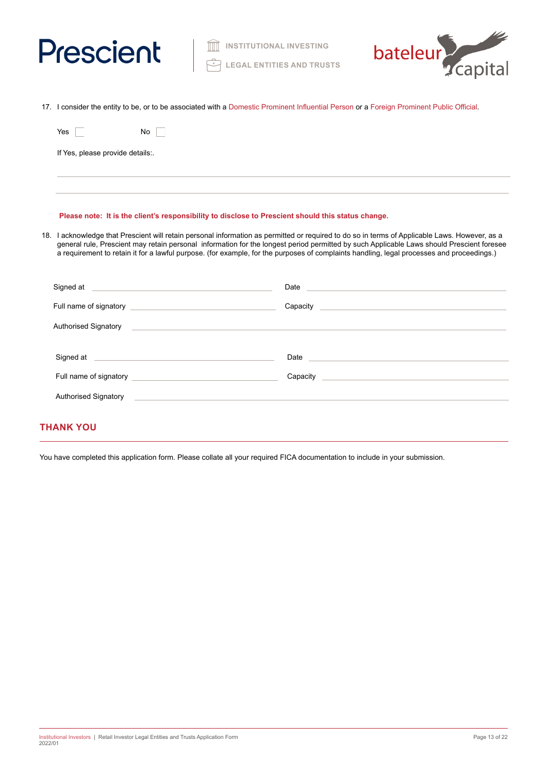



17. I consider the entity to be, or to be associated with a Domestic Prominent Influential Person or a Foreign Prominent Public Official.

| Yes                              | No |  |
|----------------------------------|----|--|
| If Yes, please provide details:. |    |  |
|                                  |    |  |

# **Please note: It is the client's responsibility to disclose to Prescient should this status change.**

18. I acknowledge that Prescient will retain personal information as permitted or required to do so in terms of Applicable Laws. However, as a general rule, Prescient may retain personal information for the longest period permitted by such Applicable Laws should Prescient foresee a requirement to retain it for a lawful purpose. (for example, for the purposes of complaints handling, legal processes and proceedings.)

| Signed at the state of the state of the state of the state of the state of the state of the state of the state of the state of the state of the state of the state of the state of the state of the state of the state of the        |                                                                                                                        |
|--------------------------------------------------------------------------------------------------------------------------------------------------------------------------------------------------------------------------------------|------------------------------------------------------------------------------------------------------------------------|
|                                                                                                                                                                                                                                      | Capacity Canadian Capacity                                                                                             |
| Authorised Signatory <b>Contract Contract Contract Contract Contract Contract Contract Contract Contract Contract Contract Contract Contract Contract Contract Contract Contract Contract Contract Contract Contract Contract Co</b> |                                                                                                                        |
| Signed at <u>example and a series of the series of the series of the series of the series of the series of the series of the series of the series of the series of the series of the series of the series of the series of the s</u> | Date <u>and the second contract of the second contract of the second contract of the second contract of the second</u> |
| Full name of signatory <b>Example 20</b> and the set of signatory                                                                                                                                                                    | Capacity<br><u> 1989 - Andrea Stadt Britain, amerikansk politiker (</u>                                                |
| Authorised Signatory                                                                                                                                                                                                                 |                                                                                                                        |
|                                                                                                                                                                                                                                      |                                                                                                                        |

# **THANK YOU**

You have completed this application form. Please collate all your required FICA documentation to include in your submission.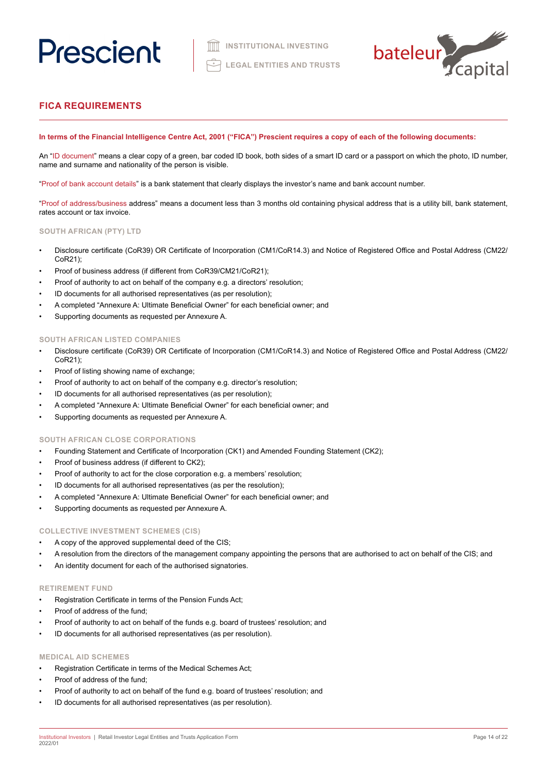

# **FICA REQUIREMENTS**

# **In terms of the Financial Intelligence Centre Act, 2001 ("FICA") Prescient requires a copy of each of the following documents:**

An "ID document" means a clear copy of a green, bar coded ID book, both sides of a smart ID card or a passport on which the photo, ID number, name and surname and nationality of the person is visible.

"Proof of bank account details" is a bank statement that clearly displays the investor's name and bank account number.

"Proof of address/business address" means a document less than 3 months old containing physical address that is a utility bill, bank statement, rates account or tax invoice.

# **SOUTH AFRICAN (PTY) LTD**

- Disclosure certificate (CoR39) OR Certificate of Incorporation (CM1/CoR14.3) and Notice of Registered Office and Postal Address (CM22/ CoR21);
- Proof of business address (if different from CoR39/CM21/CoR21);
- Proof of authority to act on behalf of the company e.g. a directors' resolution;
- ID documents for all authorised representatives (as per resolution);
- A completed "Annexure A: Ultimate Beneficial Owner" for each beneficial owner; and
- Supporting documents as requested per Annexure A.

# **SOUTH AFRICAN LISTED COMPANIES**

- Disclosure certificate (CoR39) OR Certificate of Incorporation (CM1/CoR14.3) and Notice of Registered Office and Postal Address (CM22/ CoR21);
- Proof of listing showing name of exchange;
- Proof of authority to act on behalf of the company e.g. director's resolution;
- ID documents for all authorised representatives (as per resolution);
- A completed "Annexure A: Ultimate Beneficial Owner" for each beneficial owner; and
- Supporting documents as requested per Annexure A.

## **SOUTH AFRICAN CLOSE CORPORATIONS**

- Founding Statement and Certificate of Incorporation (CK1) and Amended Founding Statement (CK2);
- Proof of business address (if different to CK2);
- Proof of authority to act for the close corporation e.g. a members' resolution;
- ID documents for all authorised representatives (as per the resolution);
- A completed "Annexure A: Ultimate Beneficial Owner" for each beneficial owner; and
- Supporting documents as requested per Annexure A.

### **COLLECTIVE INVESTMENT SCHEMES (CIS)**

- A copy of the approved supplemental deed of the CIS;
- A resolution from the directors of the management company appointing the persons that are authorised to act on behalf of the CIS; and
- An identity document for each of the authorised signatories.

#### **RETIREMENT FUND**

- Registration Certificate in terms of the Pension Funds Act;
- Proof of address of the fund:
- Proof of authority to act on behalf of the funds e.g. board of trustees' resolution; and
- ID documents for all authorised representatives (as per resolution).

# **MEDICAL AID SCHEMES**

- Registration Certificate in terms of the Medical Schemes Act;
- Proof of address of the fund;
- Proof of authority to act on behalf of the fund e.g. board of trustees' resolution; and
- ID documents for all authorised representatives (as per resolution).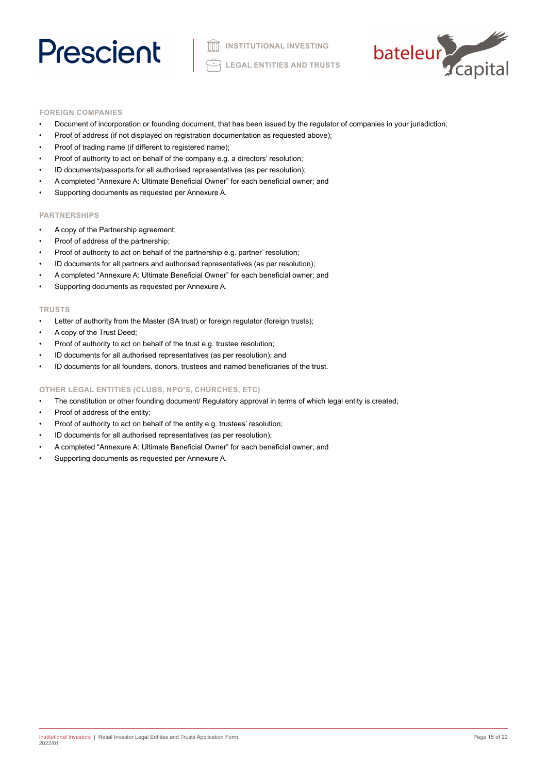

# **FOREIGN COMPANIES**

- Document of incorporation or founding document, that has been issued by the regulator of companies in your jurisdiction;
- Proof of address (if not displayed on registration documentation as requested above);
- Proof of trading name (if different to registered name);
- Proof of authority to act on behalf of the company e.g. a directors' resolution;
- ID documents/passports for all authorised representatives (as per resolution);
- A completed "Annexure A: Ultimate Beneficial Owner" for each beneficial owner; and
- Supporting documents as requested per Annexure A.

# **PARTNERSHIPS**

- A copy of the Partnership agreement;
- Proof of address of the partnership;
- Proof of authority to act on behalf of the partnership e.g. partner' resolution;
- ID documents for all partners and authorised representatives (as per resolution);
- A completed "Annexure A: Ultimate Beneficial Owner" for each beneficial owner; and
- Supporting documents as requested per Annexure A.

#### **TRUSTS**

- Letter of authority from the Master (SA trust) or foreign regulator (foreign trusts);
- A copy of the Trust Deed;
- Proof of authority to act on behalf of the trust e.g. trustee resolution;
- ID documents for all authorised representatives (as per resolution); and
- ID documents for all founders, donors, trustees and named beneficiaries of the trust.

## **OTHER LEGAL ENTITIES (CLUBS, NPO'S, CHURCHES, ETC)**

- The constitution or other founding document/ Regulatory approval in terms of which legal entity is created;
- Proof of address of the entity;
- Proof of authority to act on behalf of the entity e.g. trustees' resolution;
- ID documents for all authorised representatives (as per resolution);
- A completed "Annexure A: Ultimate Beneficial Owner" for each beneficial owner; and
- Supporting documents as requested per Annexure A.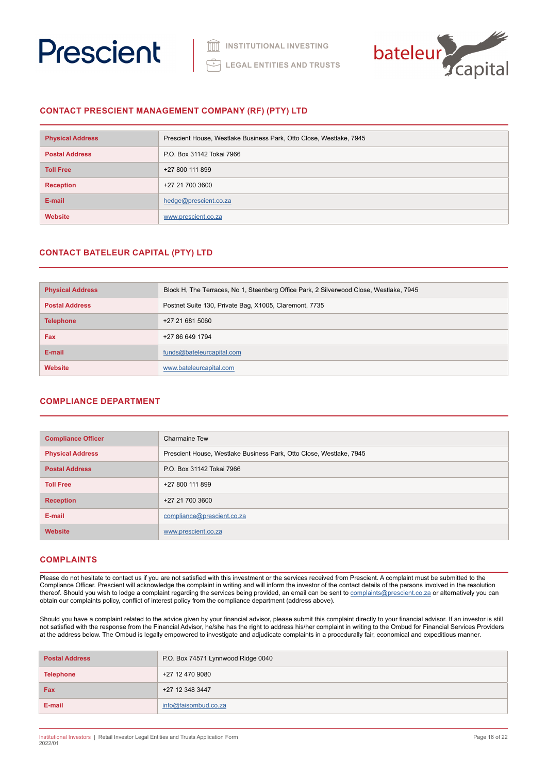



# **CONTACT PRESCIENT MANAGEMENT COMPANY (RF) (PTY) LTD**

| <b>Physical Address</b> | Prescient House, Westlake Business Park, Otto Close, Westlake, 7945 |
|-------------------------|---------------------------------------------------------------------|
| <b>Postal Address</b>   | P.O. Box 31142 Tokai 7966                                           |
| <b>Toll Free</b>        | +27 800 111 899                                                     |
| <b>Reception</b>        | +27 21 700 3600                                                     |
| E-mail                  | hedge@prescient.co.za                                               |
| <b>Website</b>          | www.prescient.co.za                                                 |

# **CONTACT BATELEUR CAPITAL (PTY) LTD**

| <b>Physical Address</b> | Block H, The Terraces, No 1, Steenberg Office Park, 2 Silverwood Close, Westlake, 7945 |
|-------------------------|----------------------------------------------------------------------------------------|
| <b>Postal Address</b>   | Postnet Suite 130, Private Bag, X1005, Claremont, 7735                                 |
| <b>Telephone</b>        | +27 21 681 5060                                                                        |
| <b>Fax</b>              | +27 86 649 1794                                                                        |
| E-mail                  | funds@bateleurcapital.com                                                              |
| <b>Website</b>          | www.bateleurcapital.com                                                                |

# **COMPLIANCE DEPARTMENT**

| <b>Compliance Officer</b> | <b>Charmaine Tew</b>                                                |
|---------------------------|---------------------------------------------------------------------|
| <b>Physical Address</b>   | Prescient House, Westlake Business Park, Otto Close, Westlake, 7945 |
| <b>Postal Address</b>     | P.O. Box 31142 Tokai 7966                                           |
| <b>Toll Free</b>          | +27 800 111 899                                                     |
| <b>Reception</b>          | +27 21 700 3600                                                     |
| E-mail                    | compliance@prescient.co.za                                          |
| <b>Website</b>            | www.prescient.co.za                                                 |

# **COMPLAINTS**

Please do not hesitate to contact us if you are not satisfied with this investment or the services received from Prescient. A complaint must be submitted to the Compliance Officer. Prescient will acknowledge the complaint in writing and will inform the investor of the contact details of the persons involved in the resolution thereof. Should you wish to lodge a complaint regarding the services being provided, an email can be sent to [complaints@prescient.co.za](mailto:complaints%40prescient.co.za?subject=) or alternatively you can obtain our complaints policy, conflict of interest policy from the compliance department (address above).

Should you have a complaint related to the advice given by your financial advisor, please submit this complaint directly to your financial advisor. If an investor is still not satisfied with the response from the Financial Advisor, he/she has the right to address his/her complaint in writing to the Ombud for Financial Services Providers at the address below. The Ombud is legally empowered to investigate and adjudicate complaints in a procedurally fair, economical and expeditious manner.

| <b>Postal Address</b> | P.O. Box 74571 Lynnwood Ridge 0040 |
|-----------------------|------------------------------------|
| <b>Telephone</b>      | +27 12 470 9080                    |
| Fax                   | +27 12 348 3447                    |
| E-mail                | info@faisombud.co.za               |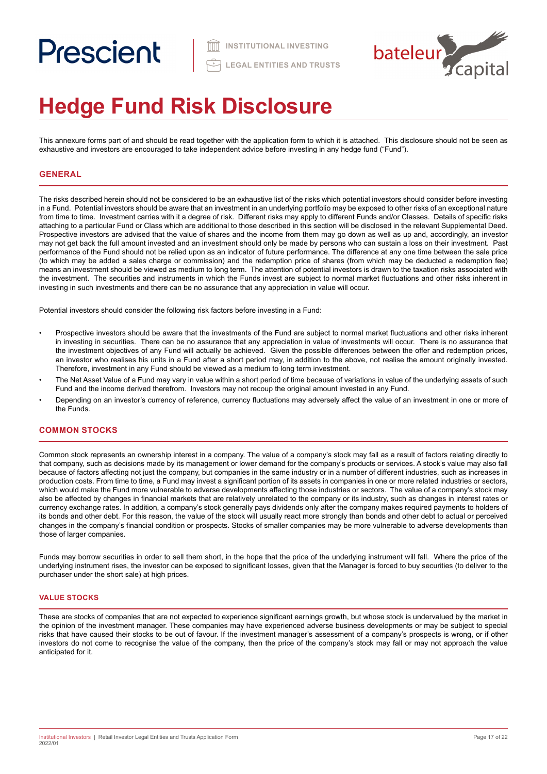

# **Hedge Fund Risk Disclosure**

This annexure forms part of and should be read together with the application form to which it is attached. This disclosure should not be seen as exhaustive and investors are encouraged to take independent advice before investing in any hedge fund ("Fund").

# **GENERAL**

The risks described herein should not be considered to be an exhaustive list of the risks which potential investors should consider before investing in a Fund. Potential investors should be aware that an investment in an underlying portfolio may be exposed to other risks of an exceptional nature from time to time. Investment carries with it a degree of risk. Different risks may apply to different Funds and/or Classes. Details of specific risks attaching to a particular Fund or Class which are additional to those described in this section will be disclosed in the relevant Supplemental Deed. Prospective investors are advised that the value of shares and the income from them may go down as well as up and, accordingly, an investor may not get back the full amount invested and an investment should only be made by persons who can sustain a loss on their investment. Past performance of the Fund should not be relied upon as an indicator of future performance. The difference at any one time between the sale price (to which may be added a sales charge or commission) and the redemption price of shares (from which may be deducted a redemption fee) means an investment should be viewed as medium to long term. The attention of potential investors is drawn to the taxation risks associated with the investment. The securities and instruments in which the Funds invest are subject to normal market fluctuations and other risks inherent in investing in such investments and there can be no assurance that any appreciation in value will occur.

Potential investors should consider the following risk factors before investing in a Fund:

- Prospective investors should be aware that the investments of the Fund are subject to normal market fluctuations and other risks inherent in investing in securities. There can be no assurance that any appreciation in value of investments will occur. There is no assurance that the investment objectives of any Fund will actually be achieved. Given the possible differences between the offer and redemption prices, an investor who realises his units in a Fund after a short period may, in addition to the above, not realise the amount originally invested. Therefore, investment in any Fund should be viewed as a medium to long term investment.
- The Net Asset Value of a Fund may vary in value within a short period of time because of variations in value of the underlying assets of such Fund and the income derived therefrom. Investors may not recoup the original amount invested in any Fund.
- Depending on an investor's currency of reference, currency fluctuations may adversely affect the value of an investment in one or more of the Funds.

# **COMMON STOCKS**

Common stock represents an ownership interest in a company. The value of a company's stock may fall as a result of factors relating directly to that company, such as decisions made by its management or lower demand for the company's products or services. A stock's value may also fall because of factors affecting not just the company, but companies in the same industry or in a number of different industries, such as increases in production costs. From time to time, a Fund may invest a significant portion of its assets in companies in one or more related industries or sectors, which would make the Fund more vulnerable to adverse developments affecting those industries or sectors. The value of a company's stock may also be affected by changes in financial markets that are relatively unrelated to the company or its industry, such as changes in interest rates or currency exchange rates. In addition, a company's stock generally pays dividends only after the company makes required payments to holders of its bonds and other debt. For this reason, the value of the stock will usually react more strongly than bonds and other debt to actual or perceived changes in the company's financial condition or prospects. Stocks of smaller companies may be more vulnerable to adverse developments than those of larger companies.

Funds may borrow securities in order to sell them short, in the hope that the price of the underlying instrument will fall. Where the price of the underlying instrument rises, the investor can be exposed to significant losses, given that the Manager is forced to buy securities (to deliver to the purchaser under the short sale) at high prices.

# **VALUE STOCKS**

These are stocks of companies that are not expected to experience significant earnings growth, but whose stock is undervalued by the market in the opinion of the investment manager. These companies may have experienced adverse business developments or may be subject to special risks that have caused their stocks to be out of favour. If the investment manager's assessment of a company's prospects is wrong, or if other investors do not come to recognise the value of the company, then the price of the company's stock may fall or may not approach the value anticipated for it.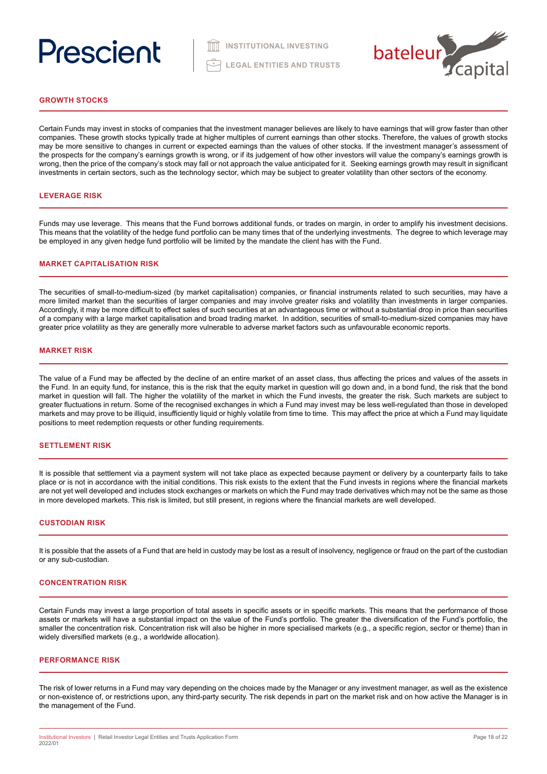

# **GROWTH STOCKS**

Certain Funds may invest in stocks of companies that the investment manager believes are likely to have earnings that will grow faster than other companies. These growth stocks typically trade at higher multiples of current earnings than other stocks. Therefore, the values of growth stocks may be more sensitive to changes in current or expected earnings than the values of other stocks. If the investment manager's assessment of the prospects for the company's earnings growth is wrong, or if its judgement of how other investors will value the company's earnings growth is wrong, then the price of the company's stock may fall or not approach the value anticipated for it. Seeking earnings growth may result in significant investments in certain sectors, such as the technology sector, which may be subject to greater volatility than other sectors of the economy.

## **LEVERAGE RISK**

Funds may use leverage. This means that the Fund borrows additional funds, or trades on margin, in order to amplify his investment decisions. This means that the volatility of the hedge fund portfolio can be many times that of the underlying investments. The degree to which leverage may be employed in any given hedge fund portfolio will be limited by the mandate the client has with the Fund.

### **MARKET CAPITALISATION RISK**

The securities of small-to-medium-sized (by market capitalisation) companies, or financial instruments related to such securities, may have a more limited market than the securities of larger companies and may involve greater risks and volatility than investments in larger companies. Accordingly, it may be more difficult to effect sales of such securities at an advantageous time or without a substantial drop in price than securities of a company with a large market capitalisation and broad trading market. In addition, securities of small-to-medium-sized companies may have greater price volatility as they are generally more vulnerable to adverse market factors such as unfavourable economic reports.

#### **MARKET RISK**

The value of a Fund may be affected by the decline of an entire market of an asset class, thus affecting the prices and values of the assets in the Fund. In an equity fund, for instance, this is the risk that the equity market in question will go down and, in a bond fund, the risk that the bond market in question will fall. The higher the volatility of the market in which the Fund invests, the greater the risk. Such markets are subject to greater fluctuations in return. Some of the recognised exchanges in which a Fund may invest may be less well-regulated than those in developed markets and may prove to be illiquid, insufficiently liquid or highly volatile from time to time. This may affect the price at which a Fund may liquidate positions to meet redemption requests or other funding requirements.

#### **SETTLEMENT RISK**

It is possible that settlement via a payment system will not take place as expected because payment or delivery by a counterparty fails to take place or is not in accordance with the initial conditions. This risk exists to the extent that the Fund invests in regions where the financial markets are not yet well developed and includes stock exchanges or markets on which the Fund may trade derivatives which may not be the same as those in more developed markets. This risk is limited, but still present, in regions where the financial markets are well developed.

#### **CUSTODIAN RISK**

It is possible that the assets of a Fund that are held in custody may be lost as a result of insolvency, negligence or fraud on the part of the custodian or any sub-custodian.

#### **CONCENTRATION RISK**

Certain Funds may invest a large proportion of total assets in specific assets or in specific markets. This means that the performance of those assets or markets will have a substantial impact on the value of the Fund's portfolio. The greater the diversification of the Fund's portfolio, the smaller the concentration risk. Concentration risk will also be higher in more specialised markets (e.g., a specific region, sector or theme) than in widely diversified markets (e.g., a worldwide allocation).

#### **PERFORMANCE RISK**

The risk of lower returns in a Fund may vary depending on the choices made by the Manager or any investment manager, as well as the existence or non-existence of, or restrictions upon, any third-party security. The risk depends in part on the market risk and on how active the Manager is in the management of the Fund.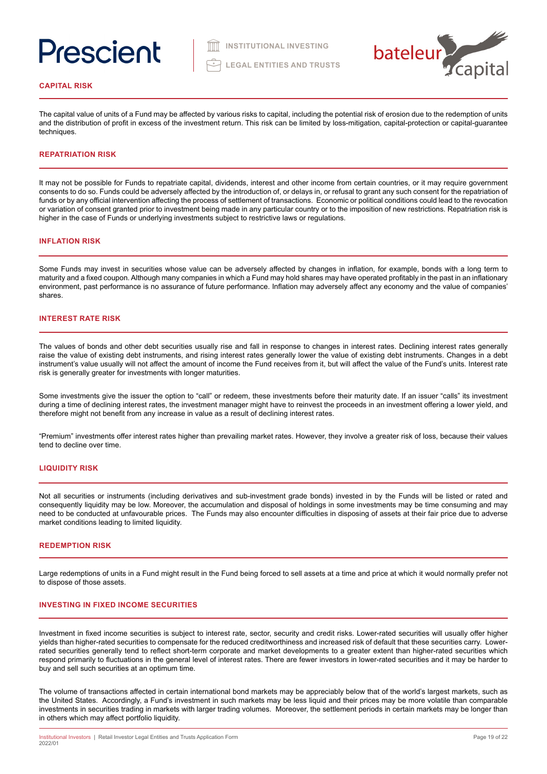

#### **CAPITAL RISK**

The capital value of units of a Fund may be affected by various risks to capital, including the potential risk of erosion due to the redemption of units and the distribution of profit in excess of the investment return. This risk can be limited by loss-mitigation, capital-protection or capital-guarantee techniques.

# **REPATRIATION RISK**

It may not be possible for Funds to repatriate capital, dividends, interest and other income from certain countries, or it may require government consents to do so. Funds could be adversely affected by the introduction of, or delays in, or refusal to grant any such consent for the repatriation of funds or by any official intervention affecting the process of settlement of transactions. Economic or political conditions could lead to the revocation or variation of consent granted prior to investment being made in any particular country or to the imposition of new restrictions. Repatriation risk is higher in the case of Funds or underlying investments subject to restrictive laws or regulations.

### **INFLATION RISK**

Some Funds may invest in securities whose value can be adversely affected by changes in inflation, for example, bonds with a long term to maturity and a fixed coupon. Although many companies in which a Fund may hold shares may have operated profitably in the past in an inflationary environment, past performance is no assurance of future performance. Inflation may adversely affect any economy and the value of companies' shares.

# **INTEREST RATE RISK**

The values of bonds and other debt securities usually rise and fall in response to changes in interest rates. Declining interest rates generally raise the value of existing debt instruments, and rising interest rates generally lower the value of existing debt instruments. Changes in a debt instrument's value usually will not affect the amount of income the Fund receives from it, but will affect the value of the Fund's units. Interest rate risk is generally greater for investments with longer maturities.

Some investments give the issuer the option to "call" or redeem, these investments before their maturity date. If an issuer "calls" its investment during a time of declining interest rates, the investment manager might have to reinvest the proceeds in an investment offering a lower yield, and therefore might not benefit from any increase in value as a result of declining interest rates.

"Premium" investments offer interest rates higher than prevailing market rates. However, they involve a greater risk of loss, because their values tend to decline over time.

#### **LIQUIDITY RISK**

Not all securities or instruments (including derivatives and sub-investment grade bonds) invested in by the Funds will be listed or rated and consequently liquidity may be low. Moreover, the accumulation and disposal of holdings in some investments may be time consuming and may need to be conducted at unfavourable prices. The Funds may also encounter difficulties in disposing of assets at their fair price due to adverse market conditions leading to limited liquidity.

# **REDEMPTION RISK**

Large redemptions of units in a Fund might result in the Fund being forced to sell assets at a time and price at which it would normally prefer not to dispose of those assets.

#### **INVESTING IN FIXED INCOME SECURITIES**

Investment in fixed income securities is subject to interest rate, sector, security and credit risks. Lower-rated securities will usually offer higher yields than higher-rated securities to compensate for the reduced creditworthiness and increased risk of default that these securities carry. Lowerrated securities generally tend to reflect short-term corporate and market developments to a greater extent than higher-rated securities which respond primarily to fluctuations in the general level of interest rates. There are fewer investors in lower-rated securities and it may be harder to buy and sell such securities at an optimum time.

The volume of transactions affected in certain international bond markets may be appreciably below that of the world's largest markets, such as the United States. Accordingly, a Fund's investment in such markets may be less liquid and their prices may be more volatile than comparable investments in securities trading in markets with larger trading volumes. Moreover, the settlement periods in certain markets may be longer than in others which may affect portfolio liquidity.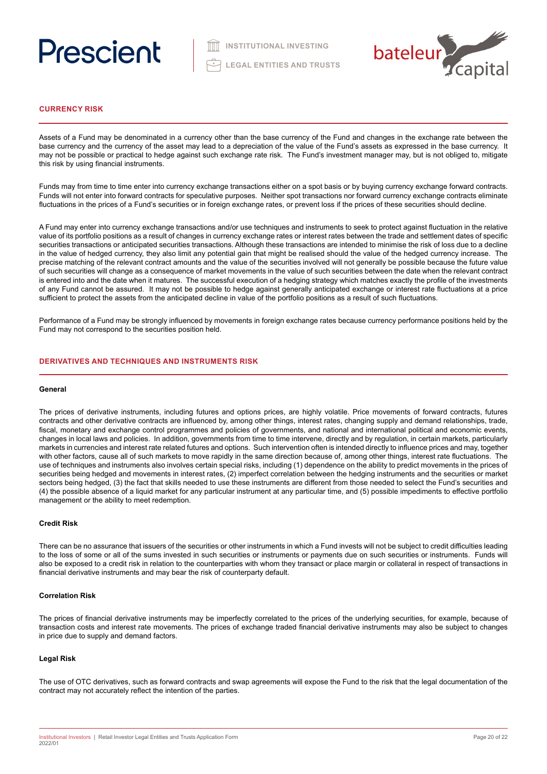

# **CURRENCY RISK**

Assets of a Fund may be denominated in a currency other than the base currency of the Fund and changes in the exchange rate between the base currency and the currency of the asset may lead to a depreciation of the value of the Fund's assets as expressed in the base currency. It may not be possible or practical to hedge against such exchange rate risk. The Fund's investment manager may, but is not obliged to, mitigate this risk by using financial instruments.

Funds may from time to time enter into currency exchange transactions either on a spot basis or by buying currency exchange forward contracts. Funds will not enter into forward contracts for speculative purposes. Neither spot transactions nor forward currency exchange contracts eliminate fluctuations in the prices of a Fund's securities or in foreign exchange rates, or prevent loss if the prices of these securities should decline.

A Fund may enter into currency exchange transactions and/or use techniques and instruments to seek to protect against fluctuation in the relative value of its portfolio positions as a result of changes in currency exchange rates or interest rates between the trade and settlement dates of specific securities transactions or anticipated securities transactions. Although these transactions are intended to minimise the risk of loss due to a decline in the value of hedged currency, they also limit any potential gain that might be realised should the value of the hedged currency increase. The precise matching of the relevant contract amounts and the value of the securities involved will not generally be possible because the future value of such securities will change as a consequence of market movements in the value of such securities between the date when the relevant contract is entered into and the date when it matures. The successful execution of a hedging strategy which matches exactly the profile of the investments of any Fund cannot be assured. It may not be possible to hedge against generally anticipated exchange or interest rate fluctuations at a price sufficient to protect the assets from the anticipated decline in value of the portfolio positions as a result of such fluctuations.

Performance of a Fund may be strongly influenced by movements in foreign exchange rates because currency performance positions held by the Fund may not correspond to the securities position held.

# **DERIVATIVES AND TECHNIQUES AND INSTRUMENTS RISK**

#### **General**

The prices of derivative instruments, including futures and options prices, are highly volatile. Price movements of forward contracts, futures contracts and other derivative contracts are influenced by, among other things, interest rates, changing supply and demand relationships, trade, fiscal, monetary and exchange control programmes and policies of governments, and national and international political and economic events, changes in local laws and policies. In addition, governments from time to time intervene, directly and by regulation, in certain markets, particularly markets in currencies and interest rate related futures and options. Such intervention often is intended directly to influence prices and may, together with other factors, cause all of such markets to move rapidly in the same direction because of, among other things, interest rate fluctuations. The use of techniques and instruments also involves certain special risks, including (1) dependence on the ability to predict movements in the prices of securities being hedged and movements in interest rates, (2) imperfect correlation between the hedging instruments and the securities or market sectors being hedged, (3) the fact that skills needed to use these instruments are different from those needed to select the Fund's securities and (4) the possible absence of a liquid market for any particular instrument at any particular time, and (5) possible impediments to effective portfolio management or the ability to meet redemption.

### **Credit Risk**

There can be no assurance that issuers of the securities or other instruments in which a Fund invests will not be subject to credit difficulties leading to the loss of some or all of the sums invested in such securities or instruments or payments due on such securities or instruments. Funds will also be exposed to a credit risk in relation to the counterparties with whom they transact or place margin or collateral in respect of transactions in financial derivative instruments and may bear the risk of counterparty default.

### **Correlation Risk**

The prices of financial derivative instruments may be imperfectly correlated to the prices of the underlying securities, for example, because of transaction costs and interest rate movements. The prices of exchange traded financial derivative instruments may also be subject to changes in price due to supply and demand factors.

### **Legal Risk**

The use of OTC derivatives, such as forward contracts and swap agreements will expose the Fund to the risk that the legal documentation of the contract may not accurately reflect the intention of the parties.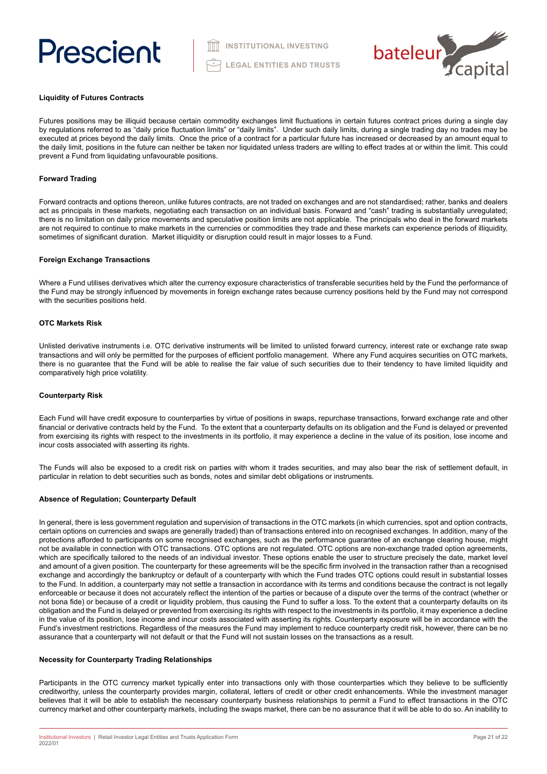

### **Liquidity of Futures Contracts**

Futures positions may be illiquid because certain commodity exchanges limit fluctuations in certain futures contract prices during a single day by regulations referred to as "daily price fluctuation limits" or "daily limits". Under such daily limits, during a single trading day no trades may be executed at prices beyond the daily limits. Once the price of a contract for a particular future has increased or decreased by an amount equal to the daily limit, positions in the future can neither be taken nor liquidated unless traders are willing to effect trades at or within the limit. This could prevent a Fund from liquidating unfavourable positions.

# **Forward Trading**

Forward contracts and options thereon, unlike futures contracts, are not traded on exchanges and are not standardised; rather, banks and dealers act as principals in these markets, negotiating each transaction on an individual basis. Forward and "cash" trading is substantially unregulated; there is no limitation on daily price movements and speculative position limits are not applicable. The principals who deal in the forward markets are not required to continue to make markets in the currencies or commodities they trade and these markets can experience periods of illiquidity, sometimes of significant duration. Market illiquidity or disruption could result in major losses to a Fund.

### **Foreign Exchange Transactions**

Where a Fund utilises derivatives which alter the currency exposure characteristics of transferable securities held by the Fund the performance of the Fund may be strongly influenced by movements in foreign exchange rates because currency positions held by the Fund may not correspond with the securities positions held.

#### **OTC Markets Risk**

Unlisted derivative instruments i.e. OTC derivative instruments will be limited to unlisted forward currency, interest rate or exchange rate swap transactions and will only be permitted for the purposes of efficient portfolio management. Where any Fund acquires securities on OTC markets, there is no guarantee that the Fund will be able to realise the fair value of such securities due to their tendency to have limited liquidity and comparatively high price volatility.

### **Counterparty Risk**

Each Fund will have credit exposure to counterparties by virtue of positions in swaps, repurchase transactions, forward exchange rate and other financial or derivative contracts held by the Fund. To the extent that a counterparty defaults on its obligation and the Fund is delayed or prevented from exercising its rights with respect to the investments in its portfolio, it may experience a decline in the value of its position, lose income and incur costs associated with asserting its rights.

The Funds will also be exposed to a credit risk on parties with whom it trades securities, and may also bear the risk of settlement default, in particular in relation to debt securities such as bonds, notes and similar debt obligations or instruments.

### **Absence of Regulation; Counterparty Default**

In general, there is less government regulation and supervision of transactions in the OTC markets (in which currencies, spot and option contracts, certain options on currencies and swaps are generally traded) than of transactions entered into on recognised exchanges. In addition, many of the protections afforded to participants on some recognised exchanges, such as the performance guarantee of an exchange clearing house, might not be available in connection with OTC transactions. OTC options are not regulated. OTC options are non-exchange traded option agreements, which are specifically tailored to the needs of an individual investor. These options enable the user to structure precisely the date, market level and amount of a given position. The counterparty for these agreements will be the specific firm involved in the transaction rather than a recognised exchange and accordingly the bankruptcy or default of a counterparty with which the Fund trades OTC options could result in substantial losses to the Fund. In addition, a counterparty may not settle a transaction in accordance with its terms and conditions because the contract is not legally enforceable or because it does not accurately reflect the intention of the parties or because of a dispute over the terms of the contract (whether or not bona fide) or because of a credit or liquidity problem, thus causing the Fund to suffer a loss. To the extent that a counterparty defaults on its obligation and the Fund is delayed or prevented from exercising its rights with respect to the investments in its portfolio, it may experience a decline in the value of its position, lose income and incur costs associated with asserting its rights. Counterparty exposure will be in accordance with the Fund's investment restrictions. Regardless of the measures the Fund may implement to reduce counterparty credit risk, however, there can be no assurance that a counterparty will not default or that the Fund will not sustain losses on the transactions as a result.

### **Necessity for Counterparty Trading Relationships**

Participants in the OTC currency market typically enter into transactions only with those counterparties which they believe to be sufficiently creditworthy, unless the counterparty provides margin, collateral, letters of credit or other credit enhancements. While the investment manager believes that it will be able to establish the necessary counterparty business relationships to permit a Fund to effect transactions in the OTC currency market and other counterparty markets, including the swaps market, there can be no assurance that it will be able to do so. An inability to